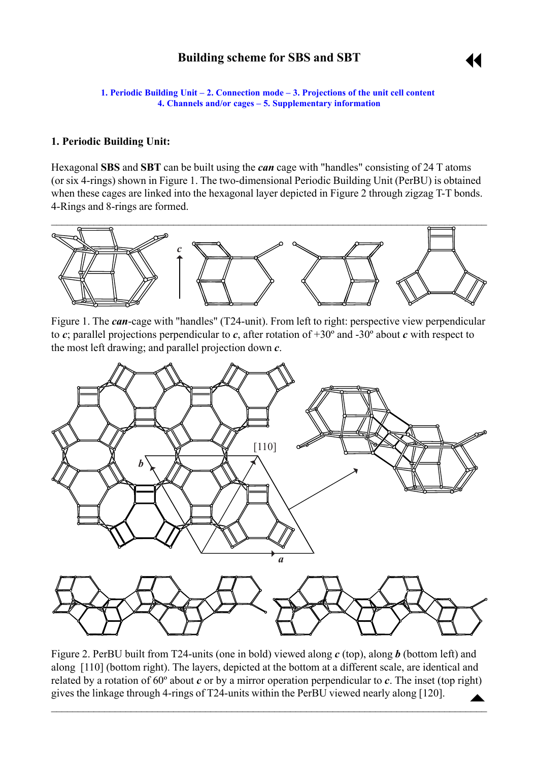# **Building scheme for SBS and SBT**

11

<span id="page-0-0"></span>**1. Periodic Building Unit – 2. Connection mode – 3. Projections of the unit cell content [4. Channels and/or cages](#page-2-0) ñ [5. Supplementary information](#page-4-0)**

### **1. Periodic Building Unit:**

Hexagonal **SBS** and **SBT** can be built using the *can* cage with "handles" consisting of 24 T atoms (or six 4-rings) shown in Figure 1. The two-dimensional Periodic Building Unit (PerBU) is obtained when these cages are linked into the hexagonal layer depicted in Figure 2 through zigzag T-T bonds. 4-Rings and 8-rings are formed.



Figure 1. The *can*-cage with "handles" (T24-unit). From left to right: perspective view perpendicular to *c*; parallel projections perpendicular to *c*, after rotation of +30º and -30º about *c* with respect to the most left drawing; and parallel projection down *c*.



Figure 2. PerBU built from T24-units (one in bold) viewed along *c* (top), along *b* (bottom left) and along [110] (bottom right). The layers, depicted at the bottom at a different scale, are identical and related by a rotation of 60º about *c* or by a mirror operation perpendicular to *c*. The inset (top right) gives the linkage through 4-rings of T24-units within the PerBU viewed nearly along [120].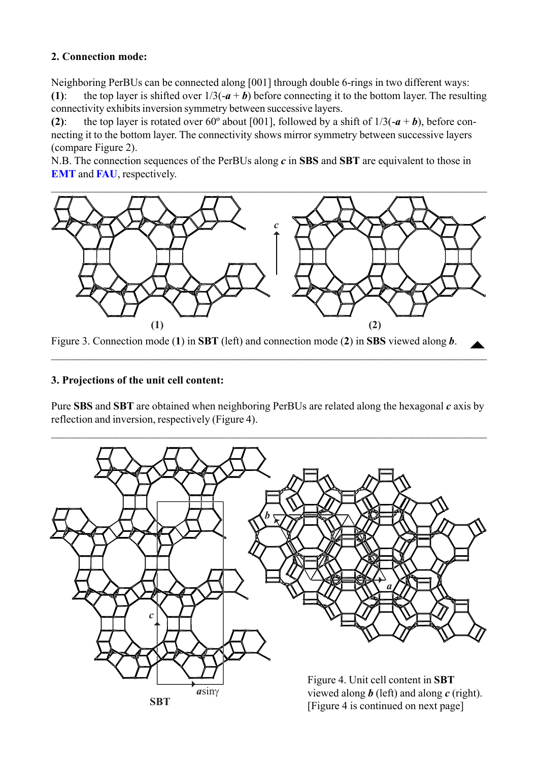## <span id="page-1-0"></span>**2. Connection mode:**

Neighboring PerBUs can be connected along [001] through double 6-rings in two different ways: **(1):** the top layer is shifted over  $1/3(-a + b)$  before connecting it to the bottom layer. The resulting connectivity exhibits inversion symmetry between successive layers.

**(2)**: the top layer is rotated over 60° about [001], followed by a shift of  $1/3(-a + b)$ , before connecting it to the bottom layer. The connectivity shows mirror symmetry between successive layers (compare Figure 2).

N.B. The connection sequences of the PerBUs along *c* in **SBS** and **SBT** are equivalent to those in **[EMT](http://www.iza-structure.org/databases/ModelBuilding/EMT.pdf)** and **FAU**, respectively.



Figure 3. Connection mode (**1**) in **SBT** (left) and connection mode (**2**) in **SBS** viewed along *b*.

 $\mathcal{L}_\mathcal{L} = \mathcal{L}_\mathcal{L} = \mathcal{L}_\mathcal{L} = \mathcal{L}_\mathcal{L} = \mathcal{L}_\mathcal{L} = \mathcal{L}_\mathcal{L} = \mathcal{L}_\mathcal{L} = \mathcal{L}_\mathcal{L} = \mathcal{L}_\mathcal{L} = \mathcal{L}_\mathcal{L} = \mathcal{L}_\mathcal{L} = \mathcal{L}_\mathcal{L} = \mathcal{L}_\mathcal{L} = \mathcal{L}_\mathcal{L} = \mathcal{L}_\mathcal{L} = \mathcal{L}_\mathcal{L} = \mathcal{L}_\mathcal{L}$ 

### **3. Projections of the unit cell content:**

Pure **SBS** and **SBT** are obtained when neighboring PerBUs are related along the hexagonal *c* axis by reflection and inversion, respectively (Figure 4).

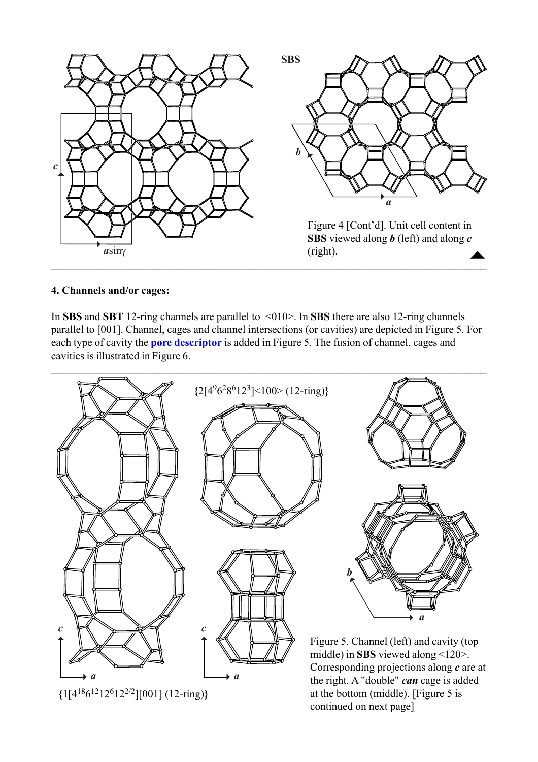<span id="page-2-0"></span>

### **4. Channels and/or cages:**

In **SBS** and **SBT** 12-ring channels are parallel to <010>. In **SBS** there are also 12-ring channels parallel to [001]. Channel, cages and channel intersections (or cavities) are depicted in Figure 5. For each type of cavity the **[pore descriptor](http://www.iza-structure.org/databases/ModelBuilding/Introduction.pdf)** is added in Figure 5. The fusion of channel, cages and cavities is illustrated in Figure 6.

 $\mathcal{L}_\mathcal{L} = \{ \mathcal{L}_\mathcal{L} = \{ \mathcal{L}_\mathcal{L} = \{ \mathcal{L}_\mathcal{L} = \{ \mathcal{L}_\mathcal{L} = \{ \mathcal{L}_\mathcal{L} = \{ \mathcal{L}_\mathcal{L} = \{ \mathcal{L}_\mathcal{L} = \{ \mathcal{L}_\mathcal{L} = \{ \mathcal{L}_\mathcal{L} = \{ \mathcal{L}_\mathcal{L} = \{ \mathcal{L}_\mathcal{L} = \{ \mathcal{L}_\mathcal{L} = \{ \mathcal{L}_\mathcal{L} = \{ \mathcal{L}_\mathcal{$ 



**{**1[418612126122/2][001] (12-ring)**}**

at the bottom (middle). [Figure 5 is continued on next page]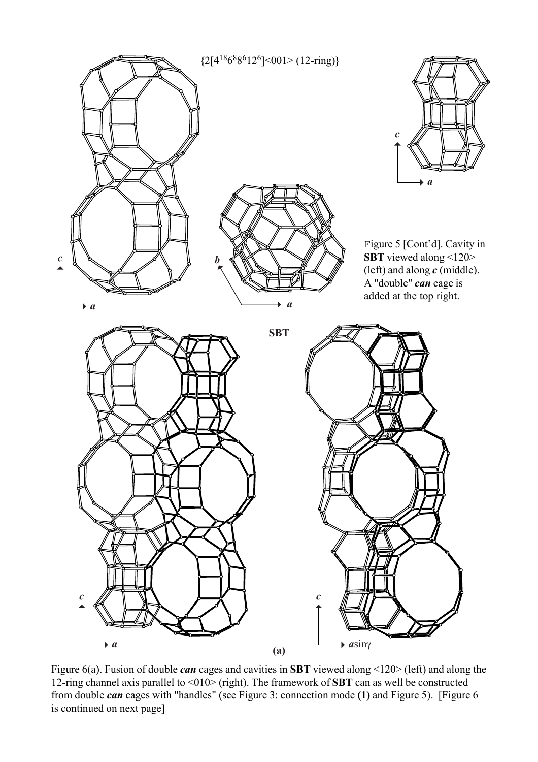

Figure 6(a). Fusion of double *can* cages and cavities in **SBT** viewed along <120> (left) and along the 12-ring channel axis parallel to <010> (right). The framework of **SBT** can as well be constructed from double *can* cages with "handles" (see Figure 3: connection mode **(1)** and Figure 5). [Figure 6 is continued on next page]